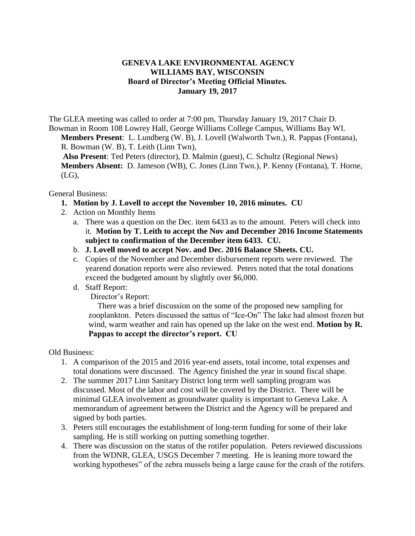## **GENEVA LAKE ENVIRONMENTAL AGENCY WILLIAMS BAY, WISCONSIN Board of Director's Meeting Official Minutes. January 19, 2017**

The GLEA meeting was called to order at 7:00 pm, Thursday January 19, 2017 Chair D. Bowman in Room 108 Lowrey Hall, George Williams College Campus, Williams Bay WI.

**Members Present**: L. Lundberg (W. B), J. Lovell (Walworth Twn.), R. Pappas (Fontana), R. Bowman (W. B), T. Leith (Linn Twn),

**Also Present**: Ted Peters (director), D. Malmin (guest), C. Schultz (Regional News) **Members Absent:** D. Jameson (WB), C. Jones (Linn Twn.), P. Kenny (Fontana), T. Horne, (LG),

General Business:

- **1. Motion by J. Lovell to accept the November 10, 2016 minutes. CU**
- 2. Action on Monthly Items
	- a. There was a question on the Dec. item 6433 as to the amount. Peters will check into it. **Motion by T. Leith to accept the Nov and December 2016 Income Statements subject to confirmation of the December item 6433. CU.**
	- b. **J. Lovell moved to accept Nov. and Dec. 2016 Balance Sheets. CU.**
	- c. Copies of the November and December disbursement reports were reviewed. The yearend donation reports were also reviewed. Peters noted that the total donations exceed the budgeted amount by slightly over \$6,000.
	- d. Staff Report:

Director's Report:

There was a brief discussion on the some of the proposed new sampling for zooplankton. Peters discussed the sattus of "Ice-On" The lake had almost frozen but wind, warm weather and rain has opened up the lake on the west end. **Motion by R. Pappas to accept the director's report. CU**

Old Business:

- 1. A comparison of the 2015 and 2016 year-end assets, total income, total expenses and total donations were discussed. The Agency finished the year in sound fiscal shape.
- 2. The summer 2017 Linn Sanitary District long term well sampling program was discussed. Most of the labor and cost will be covered by the District. There will be minimal GLEA involvement as groundwater quality is important to Geneva Lake. A memorandum of agreement between the District and the Agency will be prepared and signed by both parties.
- 3. Peters still encourages the establishment of long-term funding for some of their lake sampling. He is still working on putting something together.
- 4. There was discussion on the status of the rotifer population. Peters reviewed discussions from the WDNR, GLEA, USGS December 7 meeting. He is leaning more toward the working hypotheses" of the zebra mussels being a large cause for the crash of the rotifers.